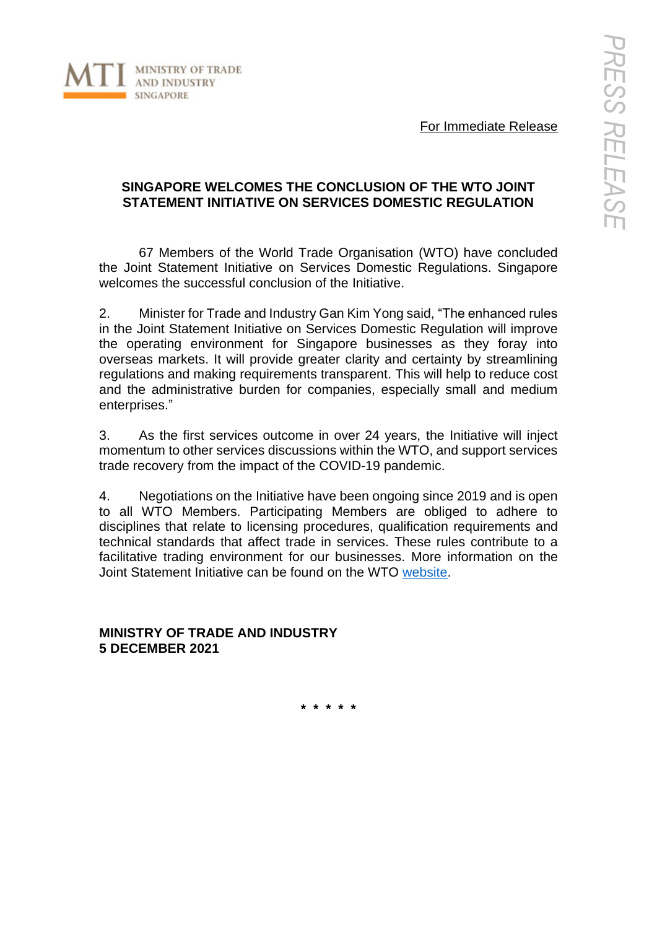

For Immediate Release

## **SINGAPORE WELCOMES THE CONCLUSION OF THE WTO JOINT STATEMENT INITIATIVE ON SERVICES DOMESTIC REGULATION**

67 Members of the World Trade Organisation (WTO) have concluded the Joint Statement Initiative on Services Domestic Regulations. Singapore welcomes the successful conclusion of the Initiative.

2. Minister for Trade and Industry Gan Kim Yong said, "The enhanced rules in the Joint Statement Initiative on Services Domestic Regulation will improve the operating environment for Singapore businesses as they foray into overseas markets. It will provide greater clarity and certainty by streamlining regulations and making requirements transparent. This will help to reduce cost and the administrative burden for companies, especially small and medium enterprises."

3. As the first services outcome in over 24 years, the Initiative will inject momentum to other services discussions within the WTO, and support services trade recovery from the impact of the COVID-19 pandemic.

4. Negotiations on the Initiative have been ongoing since 2019 and is open to all WTO Members. Participating Members are obliged to adhere to disciplines that relate to licensing procedures, qualification requirements and technical standards that affect trade in services. These rules contribute to a facilitative trading environment for our businesses. More information on the Joint Statement Initiative can be found on the WTO [website.](https://www.wto.org/english/news_e/news21_e/jssdr_02dec21_e.htm)

**MINISTRY OF TRADE AND INDUSTRY 5 DECEMBER 2021**

**\* \* \* \* \***